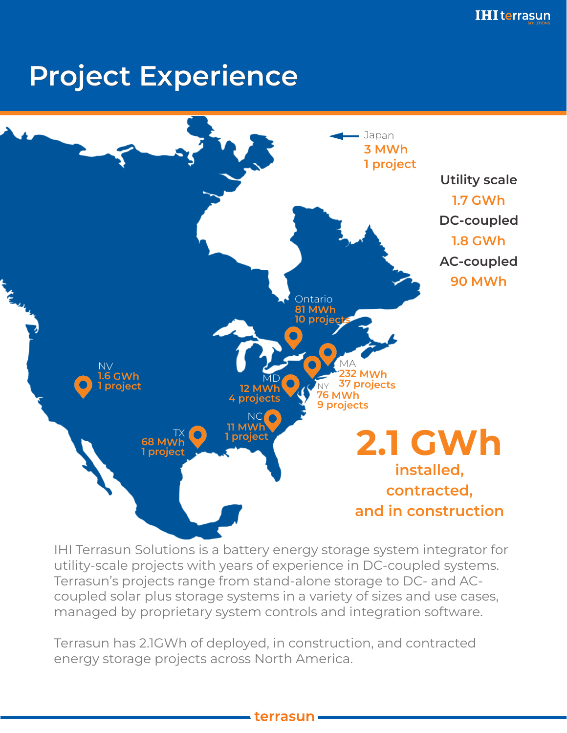# Project Experience



IHI Terrasun Solutions is a battery energy storage system integrator for utility-scale projects with years of experience in DC-coupled systems. Terrasun's projects range from stand-alone storage to DC- and ACcoupled solar plus storage systems in a variety of sizes and use cases, managed by proprietary system controls and integration software.

Terrasun has 2.1GWh of deployed, in construction, and contracted energy storage projects across North America.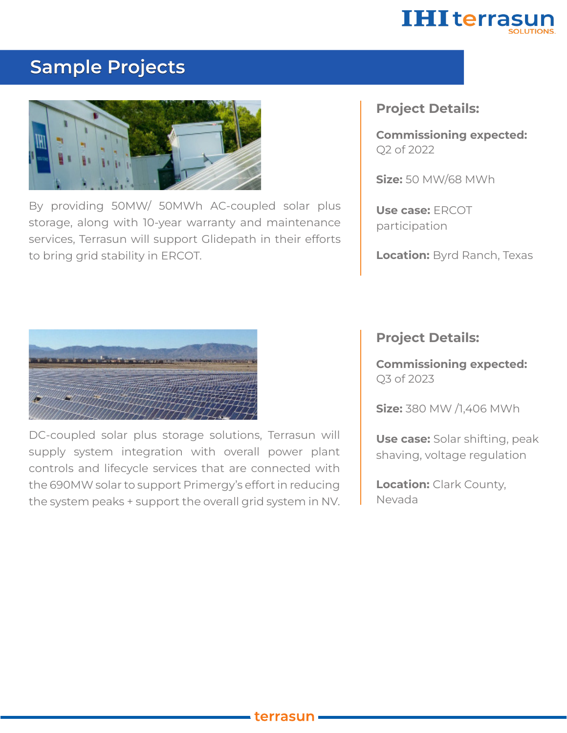

#### Sample Projects



By providing 50MW/ 50MWh AC-coupled solar plus storage, along with 10-year warranty and maintenance services, Terrasun will support Glidepath in their efforts to bring grid stability in ERCOT.

#### Project Details:

Commissioning expected: Q2 of 2022

**Size: 50 MW/68 MWh** 

Use case: ERCOT participation

Location: Byrd Ranch, Texas



DC-coupled solar plus storage solutions, Terrasun will supply system integration with overall power plant controls and lifecycle services that are connected with the 690MW solar to support Primergy's effort in reducing the system peaks + support the overall grid system in NV. Project Details:

Commissioning expected: Q3 of 2023

**Size: 380 MW /1,406 MWh** 

Use case: Solar shifting, peak shaving, voltage regulation

**Location: Clark County,** Nevada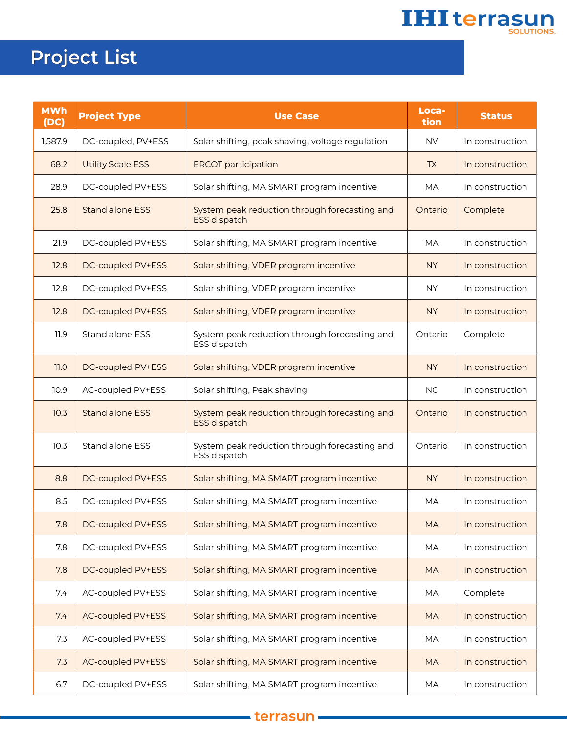# **IHI terrasun**

## Project List

| <b>MWh</b><br>(DC) | <b>Project Type</b>      | <b>Use Case</b>                                                      | Loca-<br>tion | <b>Status</b>   |
|--------------------|--------------------------|----------------------------------------------------------------------|---------------|-----------------|
| 1,587.9            | DC-coupled, PV+ESS       | Solar shifting, peak shaving, voltage regulation                     | <b>NV</b>     | In construction |
| 68.2               | <b>Utility Scale ESS</b> | <b>ERCOT</b> participation                                           | <b>TX</b>     | In construction |
| 28.9               | DC-coupled PV+ESS        | Solar shifting, MA SMART program incentive                           | <b>MA</b>     | In construction |
| 25.8               | <b>Stand alone ESS</b>   | System peak reduction through forecasting and<br><b>ESS dispatch</b> | Ontario       | Complete        |
| 21.9               | DC-coupled PV+ESS        | Solar shifting, MA SMART program incentive                           | <b>MA</b>     | In construction |
| 12.8               | DC-coupled PV+ESS        | Solar shifting, VDER program incentive                               | <b>NY</b>     | In construction |
| 12.8               | DC-coupled PV+ESS        | Solar shifting, VDER program incentive                               | <b>NY</b>     | In construction |
| 12.8               | DC-coupled PV+ESS        | Solar shifting, VDER program incentive                               | <b>NY</b>     | In construction |
| 11.9               | Stand alone ESS          | System peak reduction through forecasting and<br>ESS dispatch        | Ontario       | Complete        |
| 11.0               | DC-coupled PV+ESS        | Solar shifting, VDER program incentive                               | <b>NY</b>     | In construction |
| 10.9               | AC-coupled PV+ESS        | Solar shifting, Peak shaving                                         | <b>NC</b>     | In construction |
| 10.3               | <b>Stand alone ESS</b>   | System peak reduction through forecasting and<br><b>ESS dispatch</b> | Ontario       | In construction |
| 10.3               | <b>Stand alone ESS</b>   | System peak reduction through forecasting and<br>ESS dispatch        | Ontario       | In construction |
| 8.8                | DC-coupled PV+ESS        | Solar shifting, MA SMART program incentive                           | <b>NY</b>     | In construction |
| 8.5                | DC-coupled PV+ESS        | Solar shifting, MA SMART program incentive                           | <b>MA</b>     | In construction |
| 7.8                | DC-coupled PV+ESS        | Solar shifting, MA SMART program incentive                           | <b>MA</b>     | In construction |
| 7.8                | DC-coupled PV+ESS        | Solar shifting, MA SMART program incentive                           | MA            | In construction |
| 7.8                | DC-coupled PV+ESS        | Solar shifting, MA SMART program incentive                           | <b>MA</b>     | In construction |
| 7.4                | AC-coupled PV+ESS        | Solar shifting, MA SMART program incentive                           | MA            | Complete        |
| 7.4                | AC-coupled PV+ESS        | Solar shifting, MA SMART program incentive                           | <b>MA</b>     | In construction |
| 7.3                | AC-coupled PV+ESS        | Solar shifting, MA SMART program incentive                           | MA            | In construction |
| 7.3                | AC-coupled PV+ESS        | Solar shifting, MA SMART program incentive                           | <b>MA</b>     | In construction |
| 6.7                | DC-coupled PV+ESS        | Solar shifting, MA SMART program incentive                           | MA            | In construction |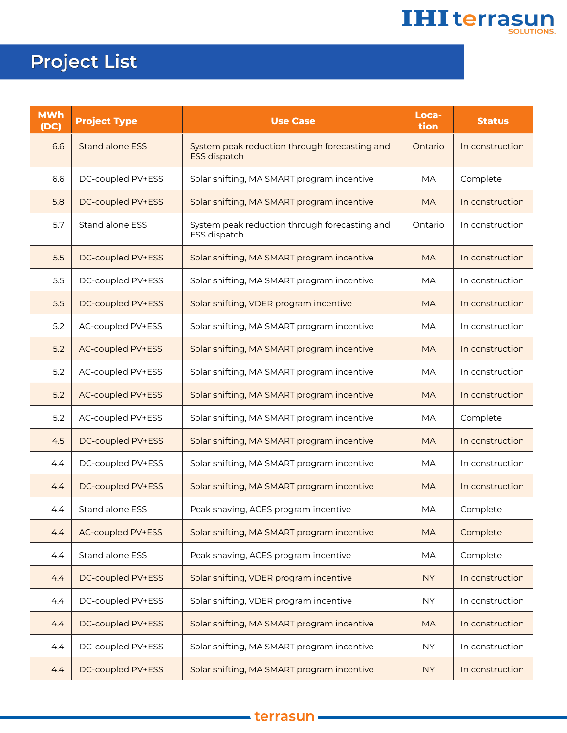

## Project List

| <b>MWh</b><br>(DC) | <b>Project Type</b>      | <b>Use Case</b>                                                      | Loca-<br>tion | <b>Status</b>   |
|--------------------|--------------------------|----------------------------------------------------------------------|---------------|-----------------|
| 6.6                | <b>Stand alone ESS</b>   | System peak reduction through forecasting and<br><b>ESS dispatch</b> | Ontario       | In construction |
| 6.6                | DC-coupled PV+ESS        | Solar shifting, MA SMART program incentive                           | <b>MA</b>     | Complete        |
| 5.8                | DC-coupled PV+ESS        | Solar shifting, MA SMART program incentive                           | <b>MA</b>     | In construction |
| 5.7                | Stand alone ESS          | System peak reduction through forecasting and<br>ESS dispatch        | Ontario       | In construction |
| 5.5                | DC-coupled PV+ESS        | Solar shifting, MA SMART program incentive                           | <b>MA</b>     | In construction |
| 5.5                | DC-coupled PV+ESS        | Solar shifting, MA SMART program incentive                           | МA            | In construction |
| 5.5                | DC-coupled PV+ESS        | Solar shifting, VDER program incentive                               | <b>MA</b>     | In construction |
| 5.2                | AC-coupled PV+ESS        | Solar shifting, MA SMART program incentive                           | <b>MA</b>     | In construction |
| 5.2                | <b>AC-coupled PV+ESS</b> | Solar shifting, MA SMART program incentive                           | <b>MA</b>     | In construction |
| 5.2                | AC-coupled PV+ESS        | Solar shifting, MA SMART program incentive                           | <b>MA</b>     | In construction |
| 5.2                | <b>AC-coupled PV+ESS</b> | Solar shifting, MA SMART program incentive                           | <b>MA</b>     | In construction |
| 5.2                | AC-coupled PV+ESS        | Solar shifting, MA SMART program incentive                           | <b>MA</b>     | Complete        |
| 4.5                | DC-coupled PV+ESS        | Solar shifting, MA SMART program incentive                           | <b>MA</b>     | In construction |
| 4.4                | DC-coupled PV+ESS        | Solar shifting, MA SMART program incentive                           | <b>MA</b>     | In construction |
| 4.4                | DC-coupled PV+ESS        | Solar shifting, MA SMART program incentive                           | <b>MA</b>     | In construction |
| 4.4                | <b>Stand alone ESS</b>   | Peak shaving, ACES program incentive                                 | <b>MA</b>     | Complete        |
| 4.4                | AC-coupled PV+ESS        | Solar shifting, MA SMART program incentive                           | <b>MA</b>     | Complete        |
| 4.4                | Stand alone ESS          | Peak shaving, ACES program incentive                                 | МA            | Complete        |
| 4.4                | DC-coupled PV+ESS        | Solar shifting, VDER program incentive                               | <b>NY</b>     | In construction |
| 4.4                | DC-coupled PV+ESS        | Solar shifting, VDER program incentive                               | <b>NY</b>     | In construction |
| 4.4                | DC-coupled PV+ESS        | Solar shifting, MA SMART program incentive                           | <b>MA</b>     | In construction |
| 4.4                | DC-coupled PV+ESS        | Solar shifting, MA SMART program incentive                           | <b>NY</b>     | In construction |
| 4.4                | DC-coupled PV+ESS        | Solar shifting, MA SMART program incentive                           | <b>NY</b>     | In construction |